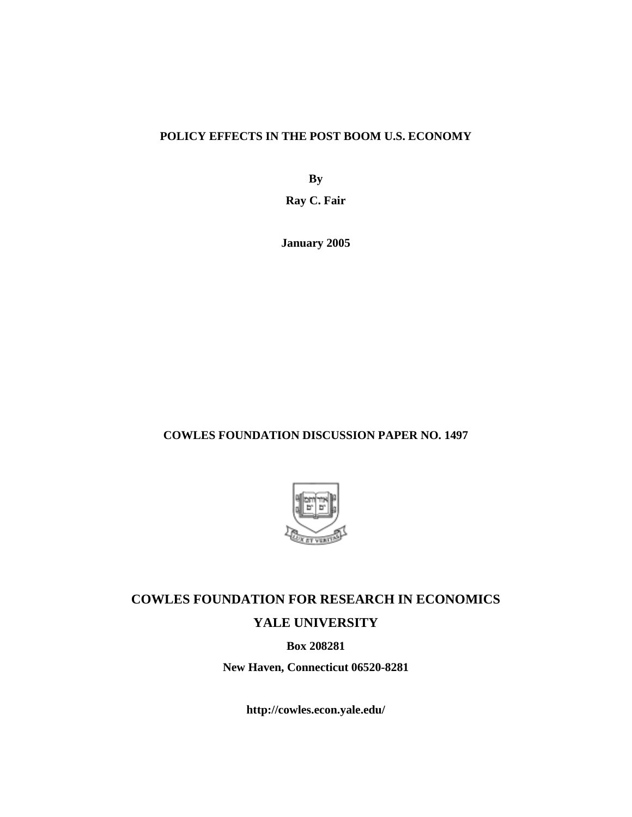### **POLICY EFFECTS IN THE POST BOOM U.S. ECONOMY**

**By** 

**Ray C. Fair** 

**January 2005** 

**COWLES FOUNDATION DISCUSSION PAPER NO. 1497** 



# **COWLES FOUNDATION FOR RESEARCH IN ECONOMICS**

**YALE UNIVERSITY**

**Box 208281** 

**New Haven, Connecticut 06520-8281** 

**http://cowles.econ.yale.edu/**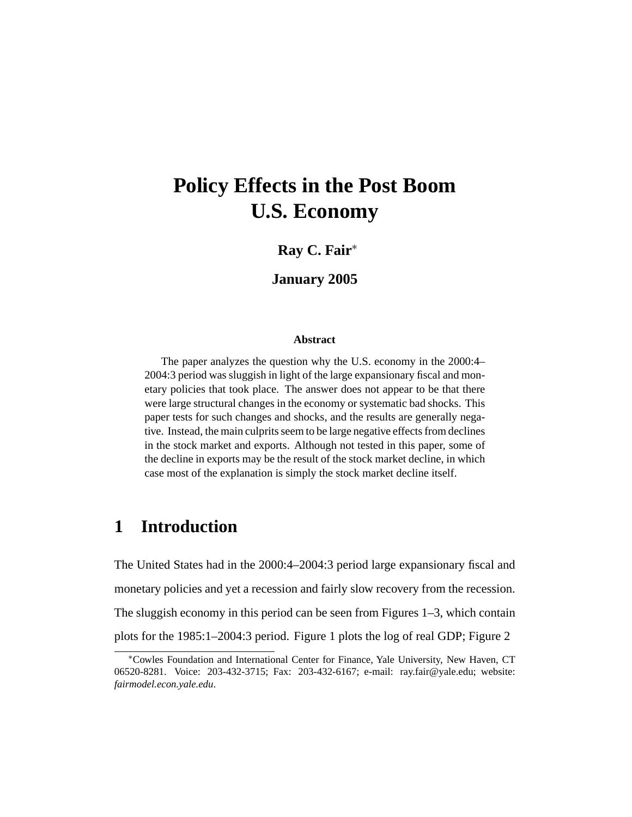# **Policy Effects in the Post Boom U.S. Economy**

**Ray C. Fair**<sup>∗</sup>

**January 2005**

#### **Abstract**

The paper analyzes the question why the U.S. economy in the 2000:4– 2004:3 period was sluggish in light of the large expansionary fiscal and monetary policies that took place. The answer does not appear to be that there were large structural changes in the economy or systematic bad shocks. This paper tests for such changes and shocks, and the results are generally negative. Instead, the main culprits seem to be large negative effects from declines in the stock market and exports. Although not tested in this paper, some of the decline in exports may be the result of the stock market decline, in which case most of the explanation is simply the stock market decline itself.

# **1 Introduction**

The United States had in the 2000:4–2004:3 period large expansionary fiscal and monetary policies and yet a recession and fairly slow recovery from the recession. The sluggish economy in this period can be seen from Figures 1–3, which contain plots for the 1985:1–2004:3 period. Figure 1 plots the log of real GDP; Figure 2

<sup>∗</sup>Cowles Foundation and International Center for Finance, Yale University, New Haven, CT 06520-8281. Voice: 203-432-3715; Fax: 203-432-6167; e-mail: ray.fair@yale.edu; website: *fairmodel.econ.yale.edu*.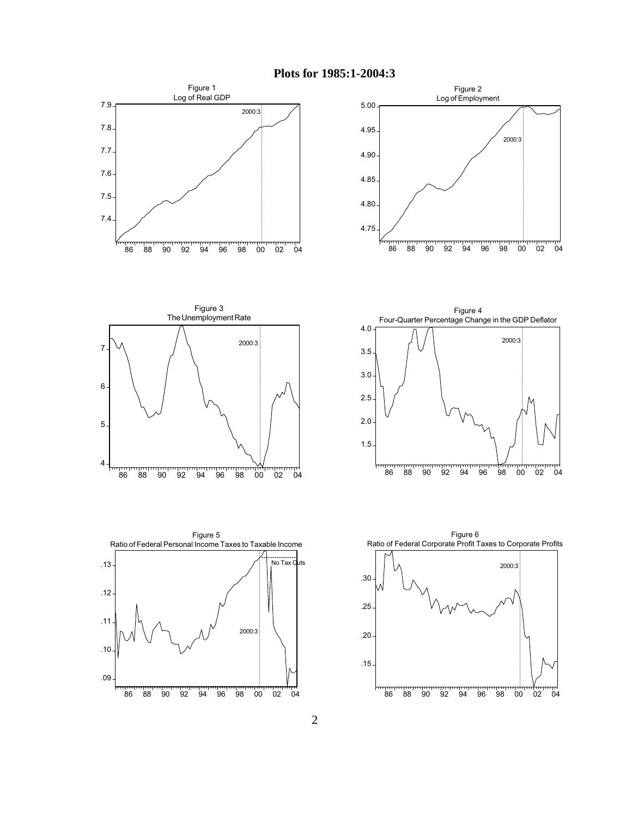

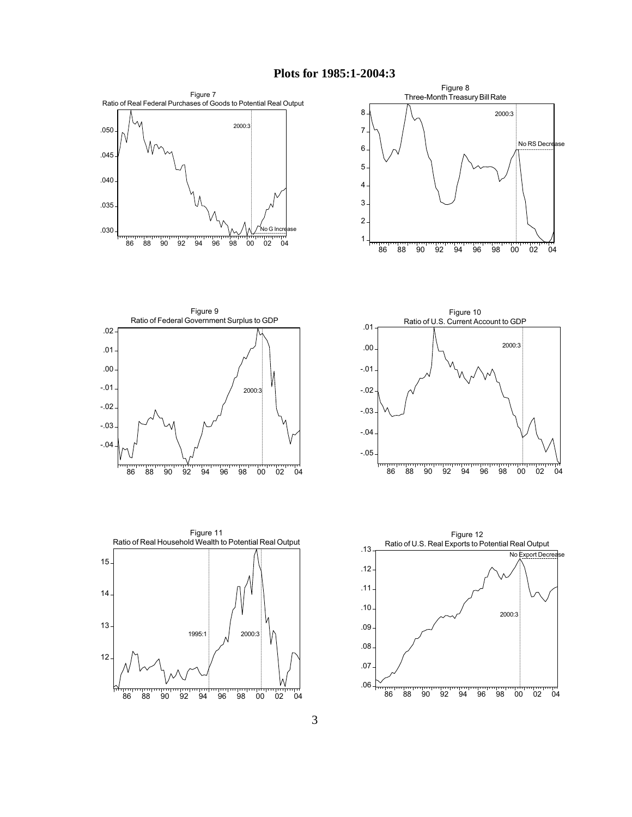#### **Plots for 1985:1-2004:3**

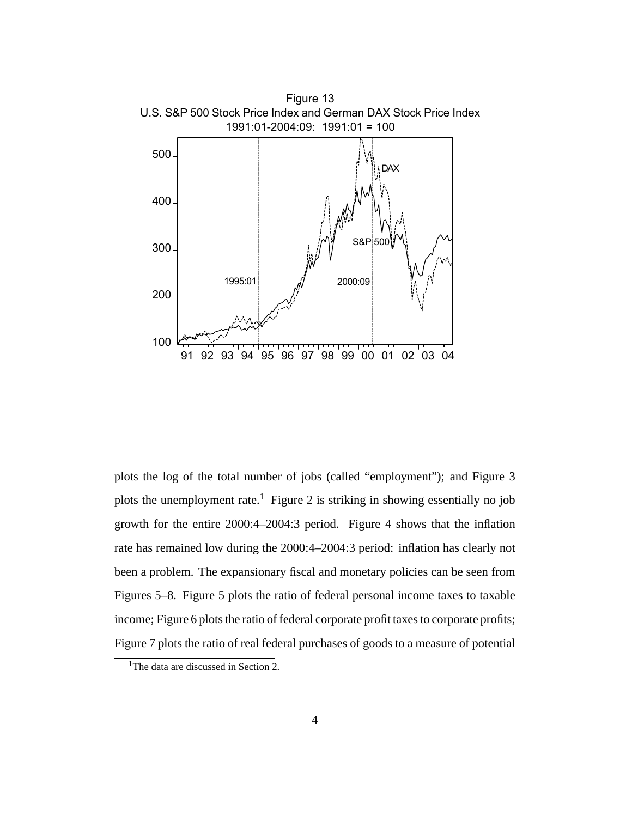

plots the log of the total number of jobs (called "employment"); and Figure 3 plots the unemployment rate.<sup>1</sup> Figure 2 is striking in showing essentially no job growth for the entire 2000:4–2004:3 period. Figure 4 shows that the inflation rate has remained low during the 2000:4–2004:3 period: inflation has clearly not been a problem. The expansionary fiscal and monetary policies can be seen from Figures 5–8. Figure 5 plots the ratio of federal personal income taxes to taxable income; Figure 6 plots the ratio of federal corporate profit taxes to corporate profits; Figure 7 plots the ratio of real federal purchases of goods to a measure of potential

<sup>&</sup>lt;sup>1</sup>The data are discussed in Section 2.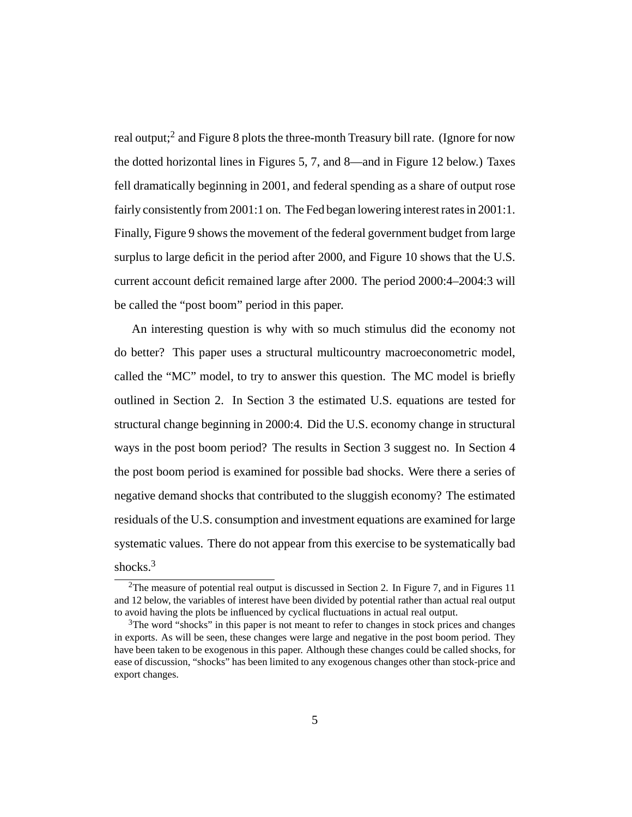real output;<sup>2</sup> and Figure 8 plots the three-month Treasury bill rate. (Ignore for now the dotted horizontal lines in Figures 5, 7, and 8—and in Figure 12 below.) Taxes fell dramatically beginning in 2001, and federal spending as a share of output rose fairly consistently from 2001:1 on. The Fed began lowering interest rates in 2001:1. Finally, Figure 9 shows the movement of the federal government budget from large surplus to large deficit in the period after 2000, and Figure 10 shows that the U.S. current account deficit remained large after 2000. The period 2000:4–2004:3 will be called the "post boom" period in this paper.

An interesting question is why with so much stimulus did the economy not do better? This paper uses a structural multicountry macroeconometric model, called the "MC" model, to try to answer this question. The MC model is briefly outlined in Section 2. In Section 3 the estimated U.S. equations are tested for structural change beginning in 2000:4. Did the U.S. economy change in structural ways in the post boom period? The results in Section 3 suggest no. In Section 4 the post boom period is examined for possible bad shocks. Were there a series of negative demand shocks that contributed to the sluggish economy? The estimated residuals of the U.S. consumption and investment equations are examined for large systematic values. There do not appear from this exercise to be systematically bad shocks $3$ 

<sup>&</sup>lt;sup>2</sup>The measure of potential real output is discussed in Section 2. In Figure 7, and in Figures 11 and 12 below, the variables of interest have been divided by potential rather than actual real output to avoid having the plots be influenced by cyclical fluctuations in actual real output.

 $3$ The word "shocks" in this paper is not meant to refer to changes in stock prices and changes in exports. As will be seen, these changes were large and negative in the post boom period. They have been taken to be exogenous in this paper. Although these changes could be called shocks, for ease of discussion, "shocks" has been limited to any exogenous changes other than stock-price and export changes.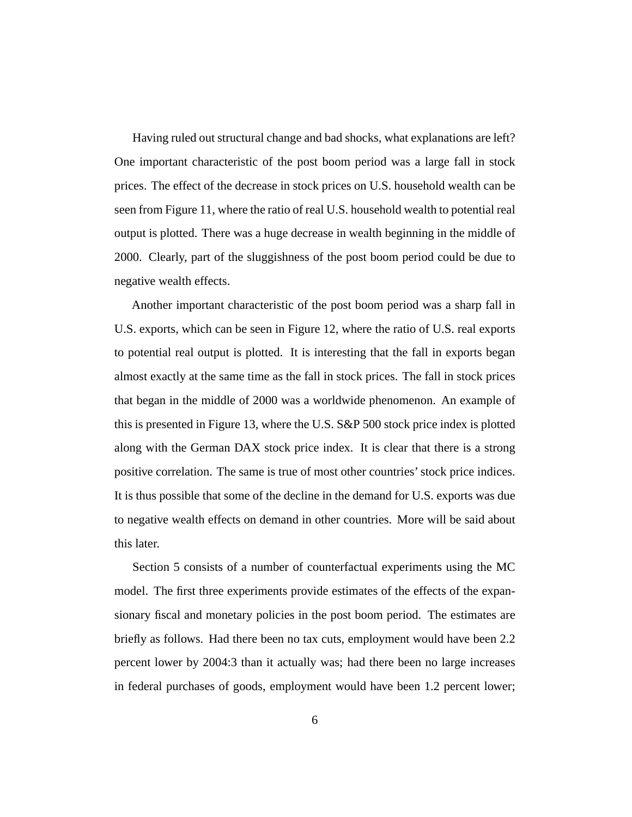Having ruled out structural change and bad shocks, what explanations are left? One important characteristic of the post boom period was a large fall in stock prices. The effect of the decrease in stock prices on U.S. household wealth can be seen from Figure 11, where the ratio of real U.S. household wealth to potential real output is plotted. There was a huge decrease in wealth beginning in the middle of 2000. Clearly, part of the sluggishness of the post boom period could be due to negative wealth effects.

Another important characteristic of the post boom period was a sharp fall in U.S. exports, which can be seen in Figure 12, where the ratio of U.S. real exports to potential real output is plotted. It is interesting that the fall in exports began almost exactly at the same time as the fall in stock prices. The fall in stock prices that began in the middle of 2000 was a worldwide phenomenon. An example of this is presented in Figure 13, where the U.S. S&P 500 stock price index is plotted along with the German DAX stock price index. It is clear that there is a strong positive correlation. The same is true of most other countries' stock price indices. It is thus possible that some of the decline in the demand for U.S. exports was due to negative wealth effects on demand in other countries. More will be said about this later.

Section 5 consists of a number of counterfactual experiments using the MC model. The first three experiments provide estimates of the effects of the expansionary fiscal and monetary policies in the post boom period. The estimates are briefly as follows. Had there been no tax cuts, employment would have been 2.2 percent lower by 2004:3 than it actually was; had there been no large increases in federal purchases of goods, employment would have been 1.2 percent lower;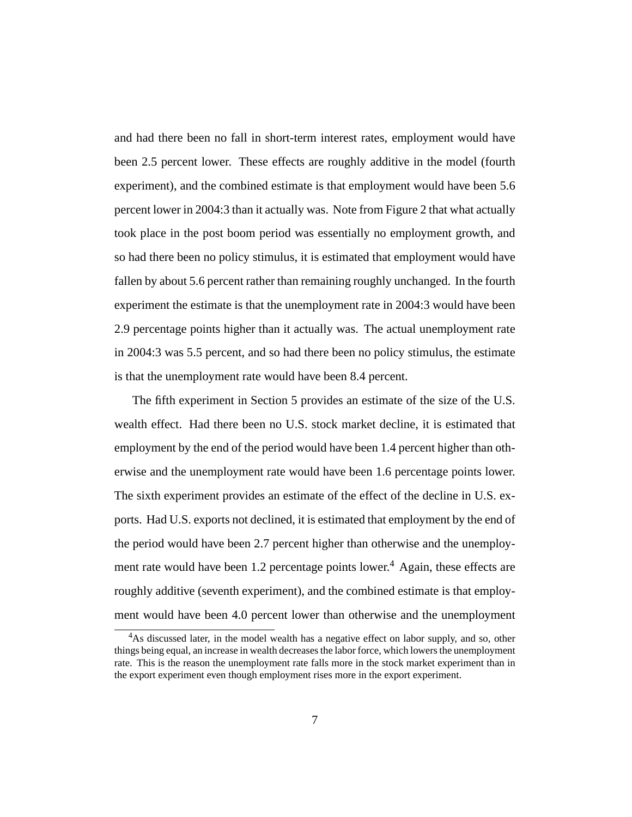and had there been no fall in short-term interest rates, employment would have been 2.5 percent lower. These effects are roughly additive in the model (fourth experiment), and the combined estimate is that employment would have been 5.6 percent lower in 2004:3 than it actually was. Note from Figure 2 that what actually took place in the post boom period was essentially no employment growth, and so had there been no policy stimulus, it is estimated that employment would have fallen by about 5.6 percent rather than remaining roughly unchanged. In the fourth experiment the estimate is that the unemployment rate in 2004:3 would have been 2.9 percentage points higher than it actually was. The actual unemployment rate in 2004:3 was 5.5 percent, and so had there been no policy stimulus, the estimate is that the unemployment rate would have been 8.4 percent.

The fifth experiment in Section 5 provides an estimate of the size of the U.S. wealth effect. Had there been no U.S. stock market decline, it is estimated that employment by the end of the period would have been 1.4 percent higher than otherwise and the unemployment rate would have been 1.6 percentage points lower. The sixth experiment provides an estimate of the effect of the decline in U.S. exports. Had U.S. exports not declined, it is estimated that employment by the end of the period would have been 2.7 percent higher than otherwise and the unemployment rate would have been 1.2 percentage points lower.<sup>4</sup> Again, these effects are roughly additive (seventh experiment), and the combined estimate is that employment would have been 4.0 percent lower than otherwise and the unemployment

 $4$ As discussed later, in the model wealth has a negative effect on labor supply, and so, other things being equal, an increase in wealth decreases the labor force, which lowers the unemployment rate. This is the reason the unemployment rate falls more in the stock market experiment than in the export experiment even though employment rises more in the export experiment.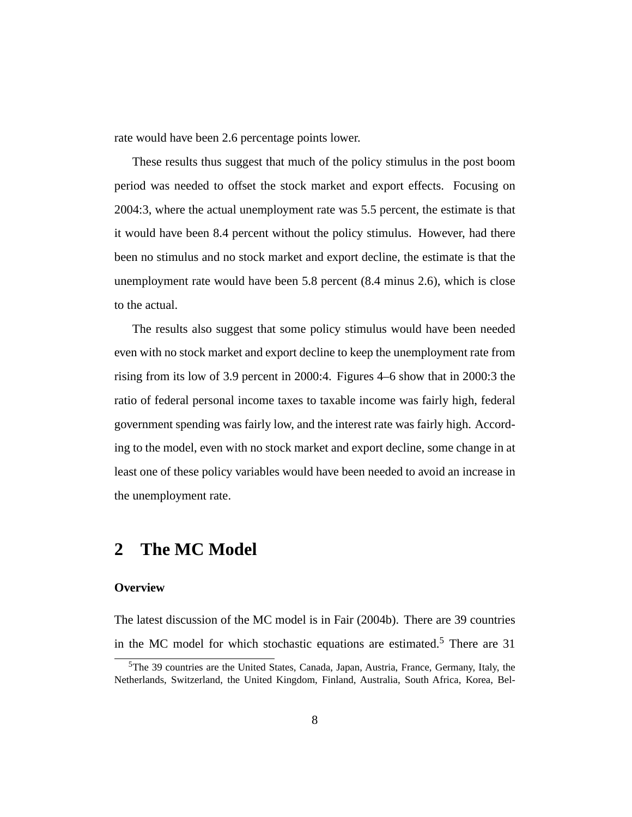rate would have been 2.6 percentage points lower.

These results thus suggest that much of the policy stimulus in the post boom period was needed to offset the stock market and export effects. Focusing on 2004:3, where the actual unemployment rate was 5.5 percent, the estimate is that it would have been 8.4 percent without the policy stimulus. However, had there been no stimulus and no stock market and export decline, the estimate is that the unemployment rate would have been 5.8 percent (8.4 minus 2.6), which is close to the actual.

The results also suggest that some policy stimulus would have been needed even with no stock market and export decline to keep the unemployment rate from rising from its low of 3.9 percent in 2000:4. Figures 4–6 show that in 2000:3 the ratio of federal personal income taxes to taxable income was fairly high, federal government spending was fairly low, and the interest rate was fairly high. According to the model, even with no stock market and export decline, some change in at least one of these policy variables would have been needed to avoid an increase in the unemployment rate.

## **2 The MC Model**

#### **Overview**

The latest discussion of the MC model is in Fair (2004b). There are 39 countries in the MC model for which stochastic equations are estimated.<sup>5</sup> There are 31

<sup>5</sup>The 39 countries are the United States, Canada, Japan, Austria, France, Germany, Italy, the Netherlands, Switzerland, the United Kingdom, Finland, Australia, South Africa, Korea, Bel-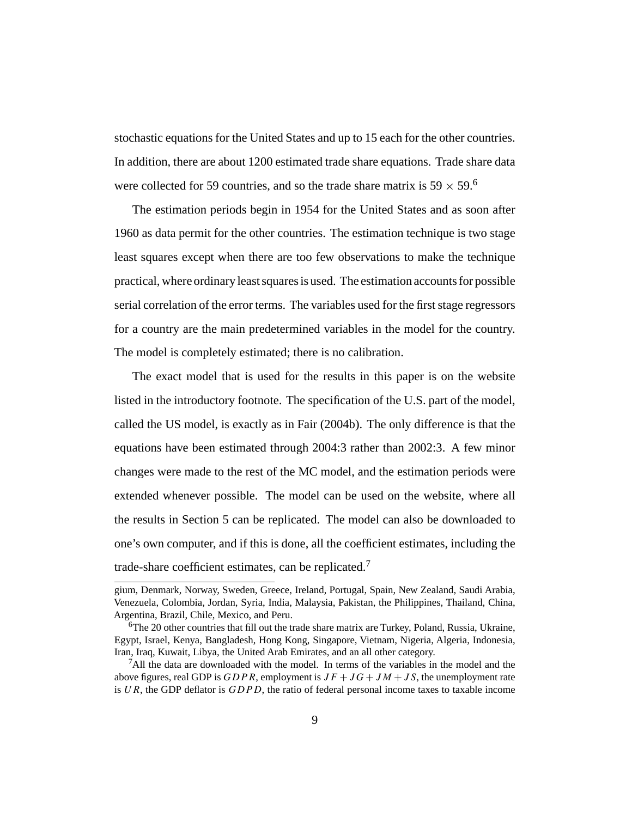stochastic equations for the United States and up to 15 each for the other countries. In addition, there are about 1200 estimated trade share equations. Trade share data were collected for 59 countries, and so the trade share matrix is  $59 \times 59$ .<sup>6</sup>

The estimation periods begin in 1954 for the United States and as soon after 1960 as data permit for the other countries. The estimation technique is two stage least squares except when there are too few observations to make the technique practical, where ordinary least squares is used. The estimation accounts for possible serial correlation of the error terms. The variables used for the first stage regressors for a country are the main predetermined variables in the model for the country. The model is completely estimated; there is no calibration.

The exact model that is used for the results in this paper is on the website listed in the introductory footnote. The specification of the U.S. part of the model, called the US model, is exactly as in Fair (2004b). The only difference is that the equations have been estimated through 2004:3 rather than 2002:3. A few minor changes were made to the rest of the MC model, and the estimation periods were extended whenever possible. The model can be used on the website, where all the results in Section 5 can be replicated. The model can also be downloaded to one's own computer, and if this is done, all the coefficient estimates, including the trade-share coefficient estimates, can be replicated.<sup>7</sup>

gium, Denmark, Norway, Sweden, Greece, Ireland, Portugal, Spain, New Zealand, Saudi Arabia, Venezuela, Colombia, Jordan, Syria, India, Malaysia, Pakistan, the Philippines, Thailand, China, Argentina, Brazil, Chile, Mexico, and Peru.

 ${}^{6}$ The 20 other countries that fill out the trade share matrix are Turkey, Poland, Russia, Ukraine, Egypt, Israel, Kenya, Bangladesh, Hong Kong, Singapore, Vietnam, Nigeria, Algeria, Indonesia, Iran, Iraq, Kuwait, Libya, the United Arab Emirates, and an all other category.

<sup>&</sup>lt;sup>7</sup>All the data are downloaded with the model. In terms of the variables in the model and the above figures, real GDP is  $GDPR$ , employment is  $JF + JG + JM + JS$ , the unemployment rate is  $UR$ , the GDP deflator is  $GDPD$ , the ratio of federal personal income taxes to taxable income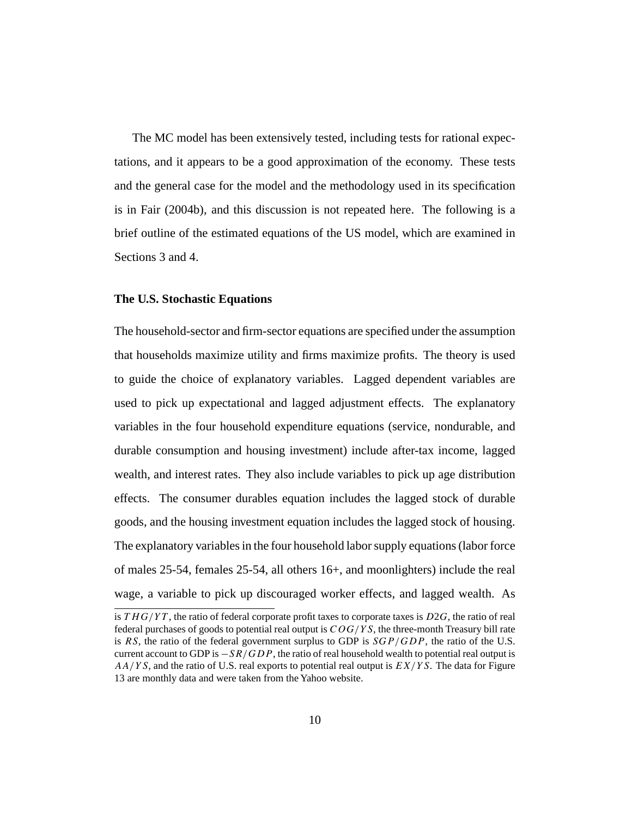The MC model has been extensively tested, including tests for rational expectations, and it appears to be a good approximation of the economy. These tests and the general case for the model and the methodology used in its specification is in Fair (2004b), and this discussion is not repeated here. The following is a brief outline of the estimated equations of the US model, which are examined in Sections 3 and 4.

#### **The U.S. Stochastic Equations**

The household-sector and firm-sector equations are specified under the assumption that households maximize utility and firms maximize profits. The theory is used to guide the choice of explanatory variables. Lagged dependent variables are used to pick up expectational and lagged adjustment effects. The explanatory variables in the four household expenditure equations (service, nondurable, and durable consumption and housing investment) include after-tax income, lagged wealth, and interest rates. They also include variables to pick up age distribution effects. The consumer durables equation includes the lagged stock of durable goods, and the housing investment equation includes the lagged stock of housing. The explanatory variables in the four household labor supply equations (labor force of males 25-54, females 25-54, all others 16+, and moonlighters) include the real wage, a variable to pick up discouraged worker effects, and lagged wealth. As

is  $THG/YT$ , the ratio of federal corporate profit taxes to corporate taxes is  $D2G$ , the ratio of real federal purchases of goods to potential real output is  $COG/YS$ , the three-month Treasury bill rate is RS, the ratio of the federal government surplus to GDP is  $SGP/GDP$ , the ratio of the U.S. current account to GDP is  $-SR/GDP$ , the ratio of real household wealth to potential real output is  $AA/YS$ , and the ratio of U.S. real exports to potential real output is  $EX/YS$ . The data for Figure 13 are monthly data and were taken from the Yahoo website.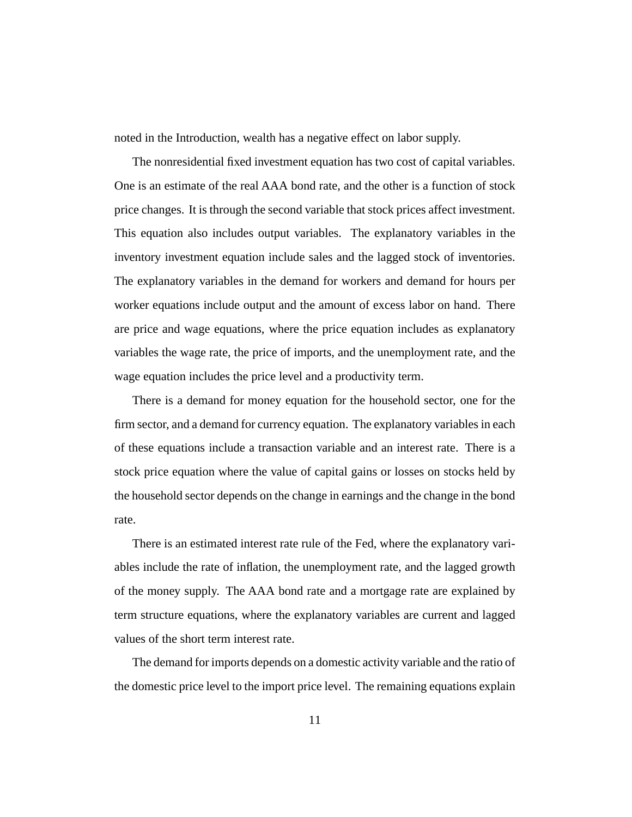noted in the Introduction, wealth has a negative effect on labor supply.

The nonresidential fixed investment equation has two cost of capital variables. One is an estimate of the real AAA bond rate, and the other is a function of stock price changes. It is through the second variable that stock prices affect investment. This equation also includes output variables. The explanatory variables in the inventory investment equation include sales and the lagged stock of inventories. The explanatory variables in the demand for workers and demand for hours per worker equations include output and the amount of excess labor on hand. There are price and wage equations, where the price equation includes as explanatory variables the wage rate, the price of imports, and the unemployment rate, and the wage equation includes the price level and a productivity term.

There is a demand for money equation for the household sector, one for the firm sector, and a demand for currency equation. The explanatory variables in each of these equations include a transaction variable and an interest rate. There is a stock price equation where the value of capital gains or losses on stocks held by the household sector depends on the change in earnings and the change in the bond rate.

There is an estimated interest rate rule of the Fed, where the explanatory variables include the rate of inflation, the unemployment rate, and the lagged growth of the money supply. The AAA bond rate and a mortgage rate are explained by term structure equations, where the explanatory variables are current and lagged values of the short term interest rate.

The demand for imports depends on a domestic activity variable and the ratio of the domestic price level to the import price level. The remaining equations explain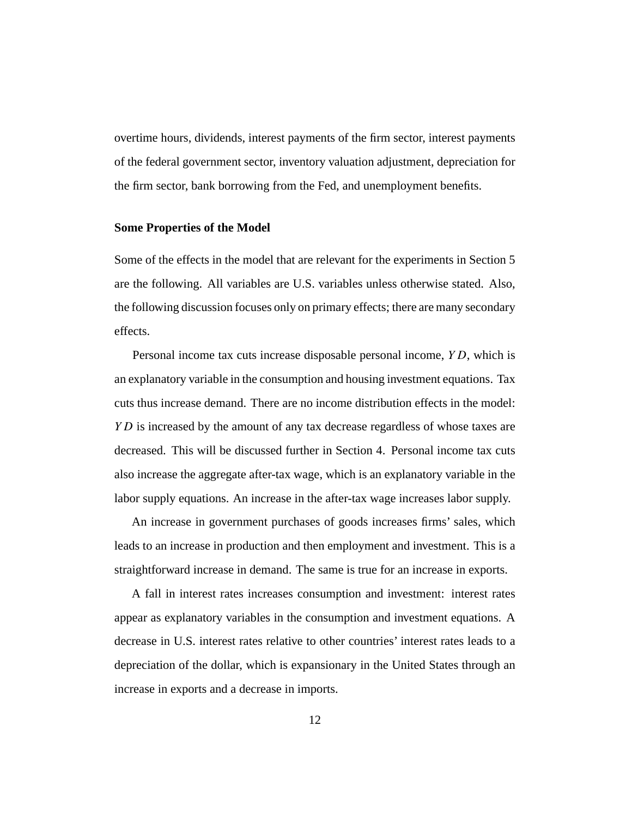overtime hours, dividends, interest payments of the firm sector, interest payments of the federal government sector, inventory valuation adjustment, depreciation for the firm sector, bank borrowing from the Fed, and unemployment benefits.

#### **Some Properties of the Model**

Some of the effects in the model that are relevant for the experiments in Section 5 are the following. All variables are U.S. variables unless otherwise stated. Also, the following discussion focuses only on primary effects; there are many secondary effects.

Personal income tax cuts increase disposable personal income, Y D, which is an explanatory variable in the consumption and housing investment equations. Tax cuts thus increase demand. There are no income distribution effects in the model: YD is increased by the amount of any tax decrease regardless of whose taxes are decreased. This will be discussed further in Section 4. Personal income tax cuts also increase the aggregate after-tax wage, which is an explanatory variable in the labor supply equations. An increase in the after-tax wage increases labor supply.

An increase in government purchases of goods increases firms' sales, which leads to an increase in production and then employment and investment. This is a straightforward increase in demand. The same is true for an increase in exports.

A fall in interest rates increases consumption and investment: interest rates appear as explanatory variables in the consumption and investment equations. A decrease in U.S. interest rates relative to other countries' interest rates leads to a depreciation of the dollar, which is expansionary in the United States through an increase in exports and a decrease in imports.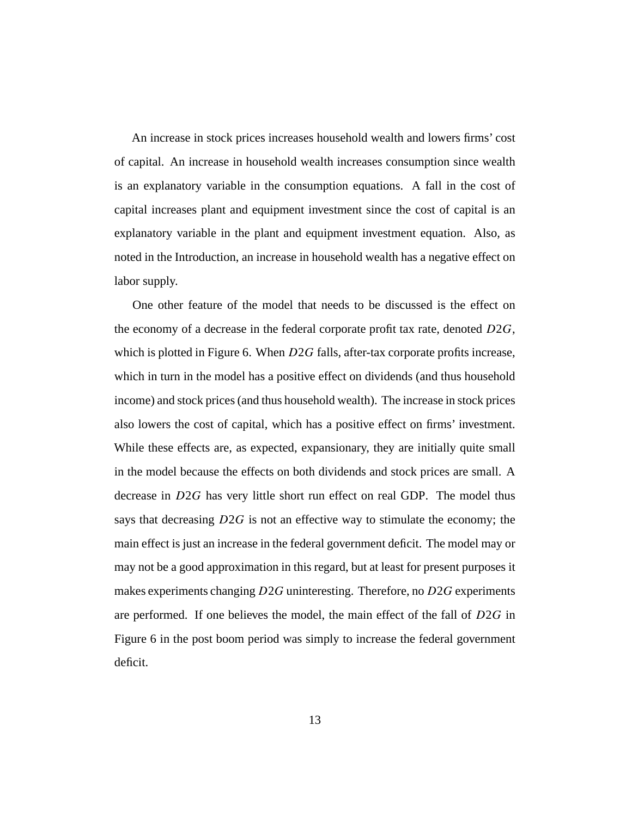An increase in stock prices increases household wealth and lowers firms' cost of capital. An increase in household wealth increases consumption since wealth is an explanatory variable in the consumption equations. A fall in the cost of capital increases plant and equipment investment since the cost of capital is an explanatory variable in the plant and equipment investment equation. Also, as noted in the Introduction, an increase in household wealth has a negative effect on labor supply.

One other feature of the model that needs to be discussed is the effect on the economy of a decrease in the federal corporate profit tax rate, denoted  $D2G$ , which is plotted in Figure 6. When D2G falls, after-tax corporate profits increase, which in turn in the model has a positive effect on dividends (and thus household income) and stock prices (and thus household wealth). The increase in stock prices also lowers the cost of capital, which has a positive effect on firms' investment. While these effects are, as expected, expansionary, they are initially quite small in the model because the effects on both dividends and stock prices are small. A decrease in D2G has very little short run effect on real GDP. The model thus says that decreasing D2G is not an effective way to stimulate the economy; the main effect is just an increase in the federal government deficit. The model may or may not be a good approximation in this regard, but at least for present purposes it makes experiments changing D2G uninteresting. Therefore, no D2G experiments are performed. If one believes the model, the main effect of the fall of D2G in Figure 6 in the post boom period was simply to increase the federal government deficit.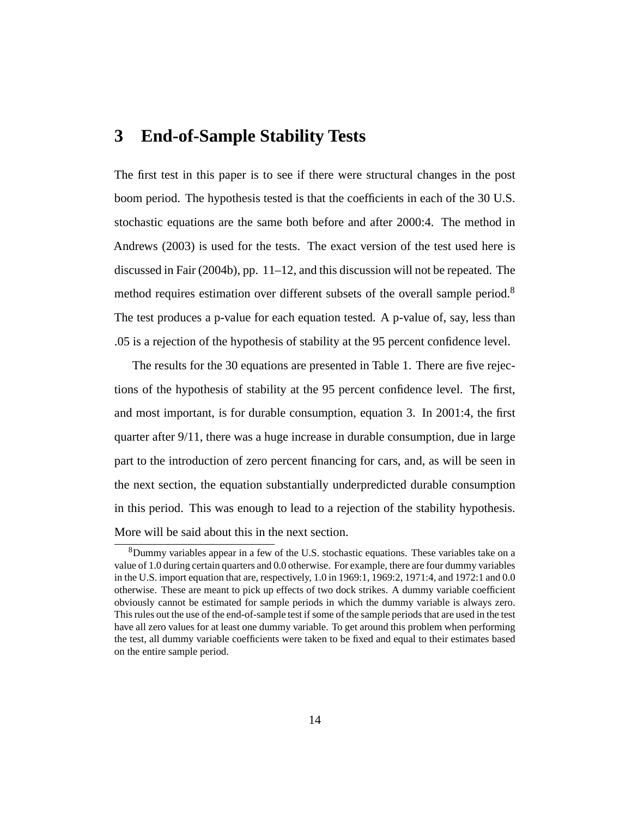### **3 End-of-Sample Stability Tests**

The first test in this paper is to see if there were structural changes in the post boom period. The hypothesis tested is that the coefficients in each of the 30 U.S. stochastic equations are the same both before and after 2000:4. The method in Andrews (2003) is used for the tests. The exact version of the test used here is discussed in Fair (2004b), pp. 11–12, and this discussion will not be repeated. The method requires estimation over different subsets of the overall sample period.<sup>8</sup> The test produces a p-value for each equation tested. A p-value of, say, less than .05 is a rejection of the hypothesis of stability at the 95 percent confidence level.

The results for the 30 equations are presented in Table 1. There are five rejections of the hypothesis of stability at the 95 percent confidence level. The first, and most important, is for durable consumption, equation 3. In 2001:4, the first quarter after 9/11, there was a huge increase in durable consumption, due in large part to the introduction of zero percent financing for cars, and, as will be seen in the next section, the equation substantially underpredicted durable consumption in this period. This was enough to lead to a rejection of the stability hypothesis. More will be said about this in the next section.

 $8$ Dummy variables appear in a few of the U.S. stochastic equations. These variables take on a value of 1.0 during certain quarters and 0.0 otherwise. For example, there are four dummy variables in the U.S. import equation that are, respectively, 1.0 in 1969:1, 1969:2, 1971:4, and 1972:1 and 0.0 otherwise. These are meant to pick up effects of two dock strikes. A dummy variable coefficient obviously cannot be estimated for sample periods in which the dummy variable is always zero. This rules out the use of the end-of-sample test if some of the sample periods that are used in the test have all zero values for at least one dummy variable. To get around this problem when performing the test, all dummy variable coefficients were taken to be fixed and equal to their estimates based on the entire sample period.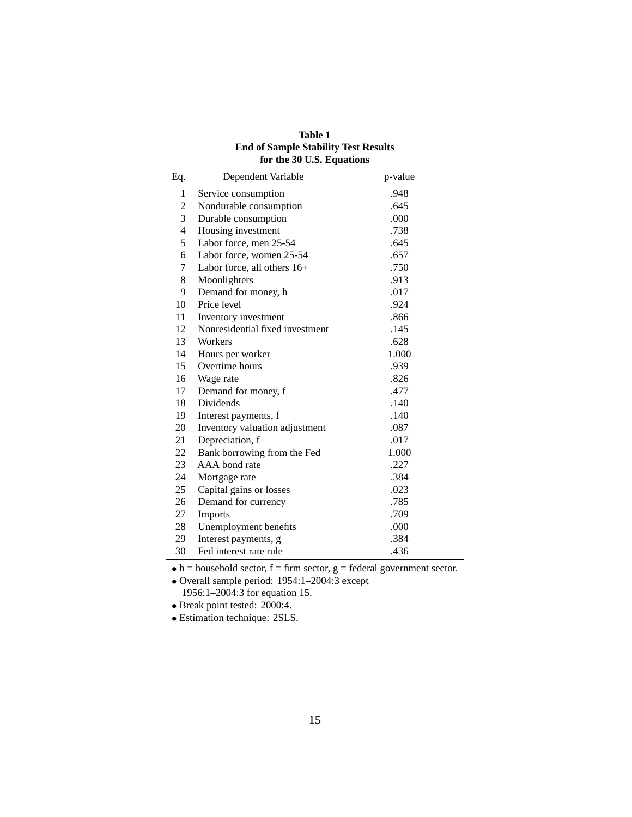| <b>Table 1</b>                              |
|---------------------------------------------|
| <b>End of Sample Stability Test Results</b> |
| for the 30 U.S. Equations                   |

| Eq.            | Dependent Variable               | p-value |  |  |  |
|----------------|----------------------------------|---------|--|--|--|
| $\mathbf{1}$   | Service consumption              | .948    |  |  |  |
| $\overline{c}$ | Nondurable consumption           | .645    |  |  |  |
| 3              | Durable consumption              | .000    |  |  |  |
| $\overline{4}$ | Housing investment               | .738    |  |  |  |
| 5              | Labor force, men 25-54           | .645    |  |  |  |
| 6              | .657<br>Labor force, women 25-54 |         |  |  |  |
| 7              | Labor force, all others 16+      | .750    |  |  |  |
| 8              | Moonlighters                     | .913    |  |  |  |
| 9              | Demand for money, h              | .017    |  |  |  |
| 10             | Price level                      | .924    |  |  |  |
| 11             | Inventory investment             | .866    |  |  |  |
| 12             | Nonresidential fixed investment  | .145    |  |  |  |
| 13             | Workers                          | .628    |  |  |  |
| 14             | Hours per worker                 | 1.000   |  |  |  |
| 15             | Overtime hours                   | .939    |  |  |  |
| 16             | Wage rate                        | .826    |  |  |  |
| 17             | Demand for money, f              | .477    |  |  |  |
| 18             | Dividends                        | .140    |  |  |  |
| 19             | Interest payments, f             | .140    |  |  |  |
| 20             | Inventory valuation adjustment   | .087    |  |  |  |
| 21             | Depreciation, f                  | .017    |  |  |  |
| 22             | Bank borrowing from the Fed      | 1.000   |  |  |  |
| 23             | AAA bond rate                    | .227    |  |  |  |
| 24             | Mortgage rate                    | .384    |  |  |  |
| 25             | Capital gains or losses          | .023    |  |  |  |
| 26             | Demand for currency              | .785    |  |  |  |
| 27             | Imports                          | .709    |  |  |  |
| 28             | Unemployment benefits            | .000    |  |  |  |
| 29             | Interest payments, g             | .384    |  |  |  |
| 30             | Fed interest rate rule           | .436    |  |  |  |

• h = household sector,  $f = firm sector, g = federal government sector.$ 

• Overall sample period: 1954:1–2004:3 except 1956:1–2004:3 for equation 15.

• Break point tested: 2000:4.

• Estimation technique: 2SLS.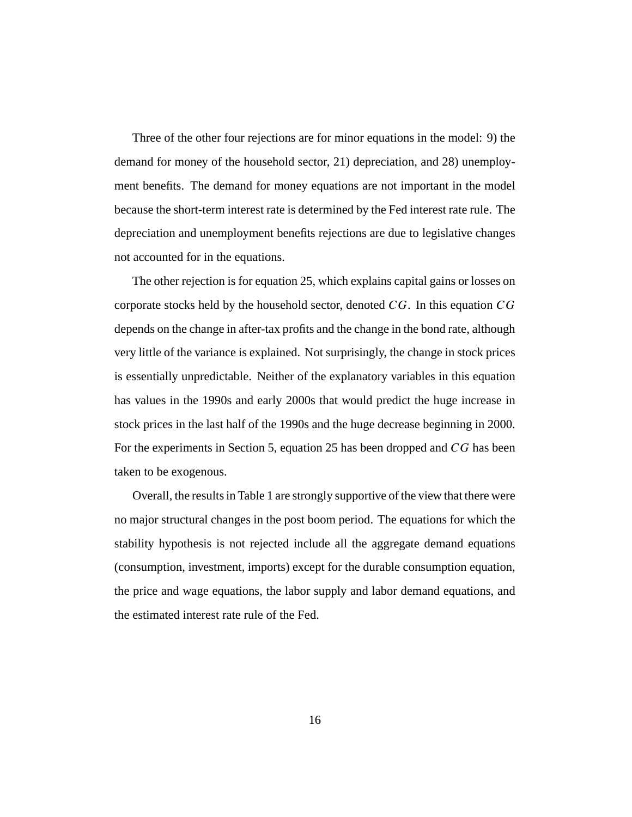Three of the other four rejections are for minor equations in the model: 9) the demand for money of the household sector, 21) depreciation, and 28) unemployment benefits. The demand for money equations are not important in the model because the short-term interest rate is determined by the Fed interest rate rule. The depreciation and unemployment benefits rejections are due to legislative changes not accounted for in the equations.

The other rejection is for equation 25, which explains capital gains or losses on corporate stocks held by the household sector, denoted  $CG$ . In this equation  $CG$ depends on the change in after-tax profits and the change in the bond rate, although very little of the variance is explained. Not surprisingly, the change in stock prices is essentially unpredictable. Neither of the explanatory variables in this equation has values in the 1990s and early 2000s that would predict the huge increase in stock prices in the last half of the 1990s and the huge decrease beginning in 2000. For the experiments in Section 5, equation 25 has been dropped and CG has been taken to be exogenous.

Overall, the results in Table 1 are strongly supportive of the view that there were no major structural changes in the post boom period. The equations for which the stability hypothesis is not rejected include all the aggregate demand equations (consumption, investment, imports) except for the durable consumption equation, the price and wage equations, the labor supply and labor demand equations, and the estimated interest rate rule of the Fed.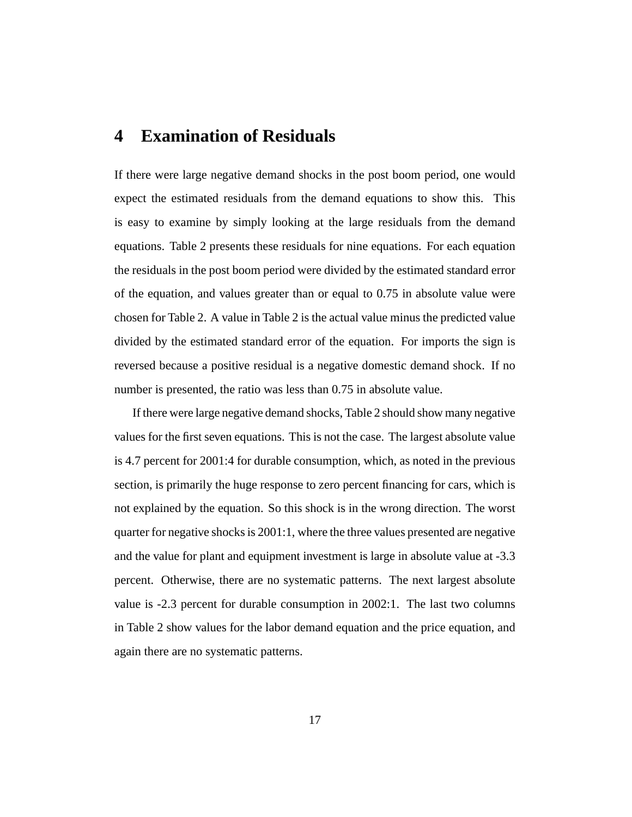## **4 Examination of Residuals**

If there were large negative demand shocks in the post boom period, one would expect the estimated residuals from the demand equations to show this. This is easy to examine by simply looking at the large residuals from the demand equations. Table 2 presents these residuals for nine equations. For each equation the residuals in the post boom period were divided by the estimated standard error of the equation, and values greater than or equal to 0.75 in absolute value were chosen for Table 2. A value in Table 2 is the actual value minus the predicted value divided by the estimated standard error of the equation. For imports the sign is reversed because a positive residual is a negative domestic demand shock. If no number is presented, the ratio was less than 0.75 in absolute value.

If there were large negative demand shocks, Table 2 should show many negative values for the first seven equations. This is not the case. The largest absolute value is 4.7 percent for 2001:4 for durable consumption, which, as noted in the previous section, is primarily the huge response to zero percent financing for cars, which is not explained by the equation. So this shock is in the wrong direction. The worst quarter for negative shocks is 2001:1, where the three values presented are negative and the value for plant and equipment investment is large in absolute value at -3.3 percent. Otherwise, there are no systematic patterns. The next largest absolute value is -2.3 percent for durable consumption in 2002:1. The last two columns in Table 2 show values for the labor demand equation and the price equation, and again there are no systematic patterns.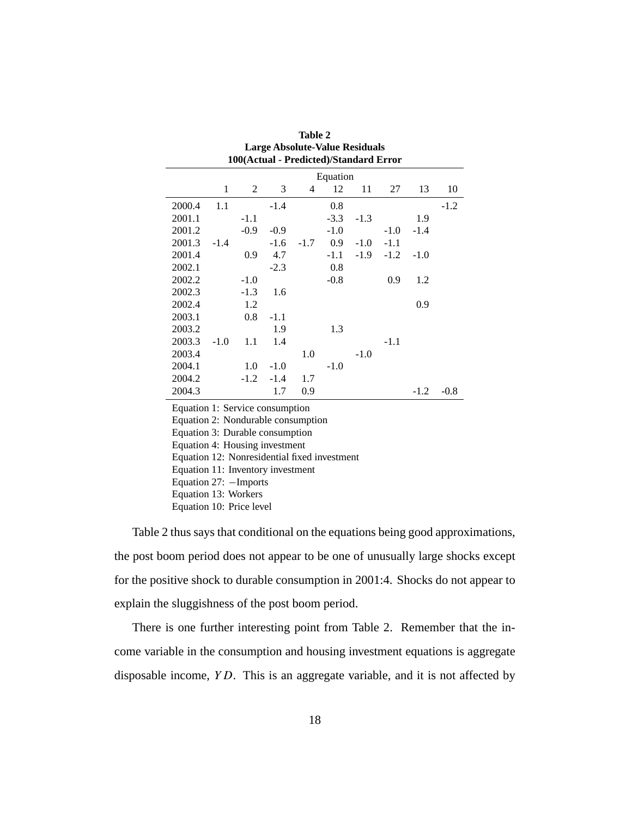| Table 2                                |                                                      |        |                                       |        |                  |        |        |        |        |
|----------------------------------------|------------------------------------------------------|--------|---------------------------------------|--------|------------------|--------|--------|--------|--------|
|                                        |                                                      |        | <b>Large Absolute-Value Residuals</b> |        |                  |        |        |        |        |
| 100(Actual - Predicted)/Standard Error |                                                      |        |                                       |        |                  |        |        |        |        |
|                                        | Equation<br>1<br>2<br>12<br>3<br>27<br>13<br>4<br>11 |        |                                       |        |                  |        |        |        | 10     |
|                                        |                                                      |        |                                       |        |                  |        |        |        |        |
| 2000.4                                 | 1.1                                                  |        | $-1.4$                                |        | 0.8              |        |        |        | $-1.2$ |
| 2001.1                                 |                                                      | $-1.1$ |                                       |        | $-3.3$           | $-1.3$ |        | 1.9    |        |
| 2001.2                                 |                                                      | $-0.9$ | $-0.9$                                |        | $-1.0$           |        | $-1.0$ | $-1.4$ |        |
| 2001.3                                 | $-1.4$                                               |        | $-1.6$                                | $-1.7$ | 0.9 <sup>°</sup> | $-1.0$ | $-1.1$ |        |        |
| 2001.4                                 |                                                      | 0.9    | 4.7                                   |        | $-1.1$           | $-1.9$ | $-1.2$ | $-1.0$ |        |
| 2002.1                                 |                                                      |        | $-2.3$                                |        | 0.8              |        |        |        |        |
| 2002.2                                 |                                                      | $-1.0$ |                                       |        | $-0.8$           |        | 0.9    | 1.2    |        |
| 2002.3                                 |                                                      | $-1.3$ | 1.6                                   |        |                  |        |        |        |        |
| 2002.4                                 |                                                      | 1.2    |                                       |        |                  |        |        | 0.9    |        |
| 2003.1                                 |                                                      | 0.8    | $-1.1$                                |        |                  |        |        |        |        |
| 2003.2                                 |                                                      |        | 1.9                                   |        | 1.3              |        |        |        |        |
| 2003.3                                 | $-1.0$                                               | 1.1    | 1.4                                   |        |                  |        | $-1.1$ |        |        |
| 2003.4                                 |                                                      |        |                                       | 1.0    |                  | $-1.0$ |        |        |        |
| 2004.1                                 |                                                      | 1.0    | $-1.0$                                |        | $-1.0$           |        |        |        |        |
| 2004.2                                 |                                                      | $-1.2$ | $-1.4$                                | 1.7    |                  |        |        |        |        |
| 2004.3                                 |                                                      |        | 1.7                                   | 0.9    |                  |        |        | $-1.2$ | $-0.8$ |
| Equation 1: Service consumption        |                                                      |        |                                       |        |                  |        |        |        |        |
| Equation 2: Nondurable consumption     |                                                      |        |                                       |        |                  |        |        |        |        |
| Equation 3: Durable consumption        |                                                      |        |                                       |        |                  |        |        |        |        |
| Equation 4: Housing investment         |                                                      |        |                                       |        |                  |        |        |        |        |

Equation 12: Nonresidential fixed investment

Equation 11: Inventory investment

Equation 27: −Imports Equation 13: Workers

Equation 10: Price level

Table 2 thus says that conditional on the equations being good approximations, the post boom period does not appear to be one of unusually large shocks except for the positive shock to durable consumption in 2001:4. Shocks do not appear to explain the sluggishness of the post boom period.

There is one further interesting point from Table 2. Remember that the income variable in the consumption and housing investment equations is aggregate disposable income,  $YD$ . This is an aggregate variable, and it is not affected by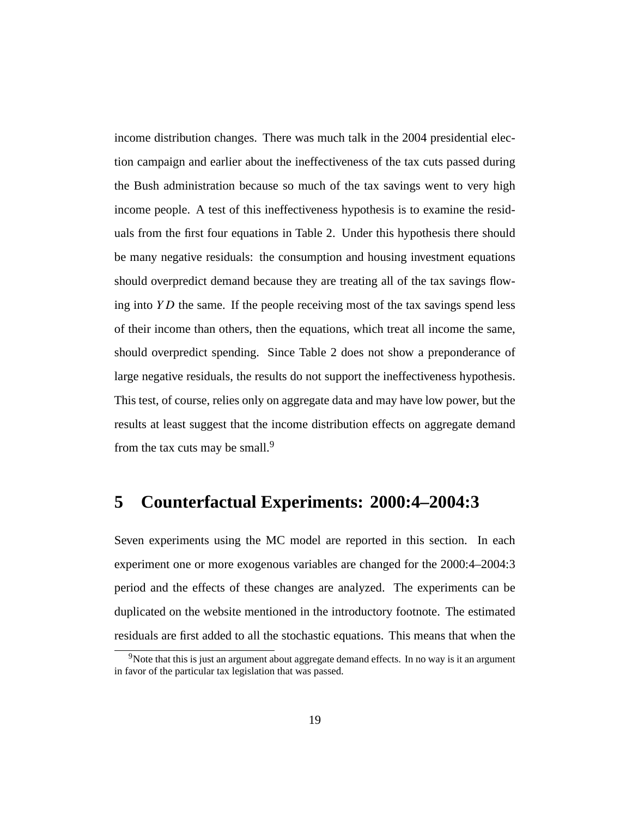income distribution changes. There was much talk in the 2004 presidential election campaign and earlier about the ineffectiveness of the tax cuts passed during the Bush administration because so much of the tax savings went to very high income people. A test of this ineffectiveness hypothesis is to examine the residuals from the first four equations in Table 2. Under this hypothesis there should be many negative residuals: the consumption and housing investment equations should overpredict demand because they are treating all of the tax savings flowing into  $YD$  the same. If the people receiving most of the tax savings spend less of their income than others, then the equations, which treat all income the same, should overpredict spending. Since Table 2 does not show a preponderance of large negative residuals, the results do not support the ineffectiveness hypothesis. This test, of course, relies only on aggregate data and may have low power, but the results at least suggest that the income distribution effects on aggregate demand from the tax cuts may be small.<sup>9</sup>

### **5 Counterfactual Experiments: 2000:4–2004:3**

Seven experiments using the MC model are reported in this section. In each experiment one or more exogenous variables are changed for the 2000:4–2004:3 period and the effects of these changes are analyzed. The experiments can be duplicated on the website mentioned in the introductory footnote. The estimated residuals are first added to all the stochastic equations. This means that when the

 $9$ Note that this is just an argument about aggregate demand effects. In no way is it an argument in favor of the particular tax legislation that was passed.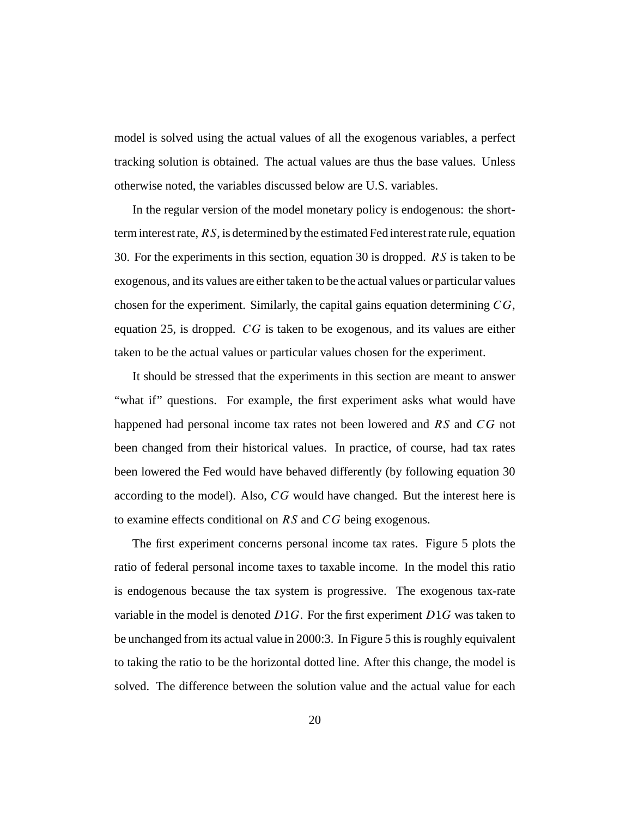model is solved using the actual values of all the exogenous variables, a perfect tracking solution is obtained. The actual values are thus the base values. Unless otherwise noted, the variables discussed below are U.S. variables.

In the regular version of the model monetary policy is endogenous: the shortterm interest rate, RS, is determined by the estimated Fed interest rate rule, equation 30. For the experiments in this section, equation 30 is dropped. RS is taken to be exogenous, and its values are either taken to be the actual values or particular values chosen for the experiment. Similarly, the capital gains equation determining CG, equation 25, is dropped. CG is taken to be exogenous, and its values are either taken to be the actual values or particular values chosen for the experiment.

It should be stressed that the experiments in this section are meant to answer "what if" questions. For example, the first experiment asks what would have happened had personal income tax rates not been lowered and RS and CG not been changed from their historical values. In practice, of course, had tax rates been lowered the Fed would have behaved differently (by following equation 30 according to the model). Also, CG would have changed. But the interest here is to examine effects conditional on RS and CG being exogenous.

The first experiment concerns personal income tax rates. Figure 5 plots the ratio of federal personal income taxes to taxable income. In the model this ratio is endogenous because the tax system is progressive. The exogenous tax-rate variable in the model is denoted  $D1G$ . For the first experiment  $D1G$  was taken to be unchanged from its actual value in 2000:3. In Figure 5 this is roughly equivalent to taking the ratio to be the horizontal dotted line. After this change, the model is solved. The difference between the solution value and the actual value for each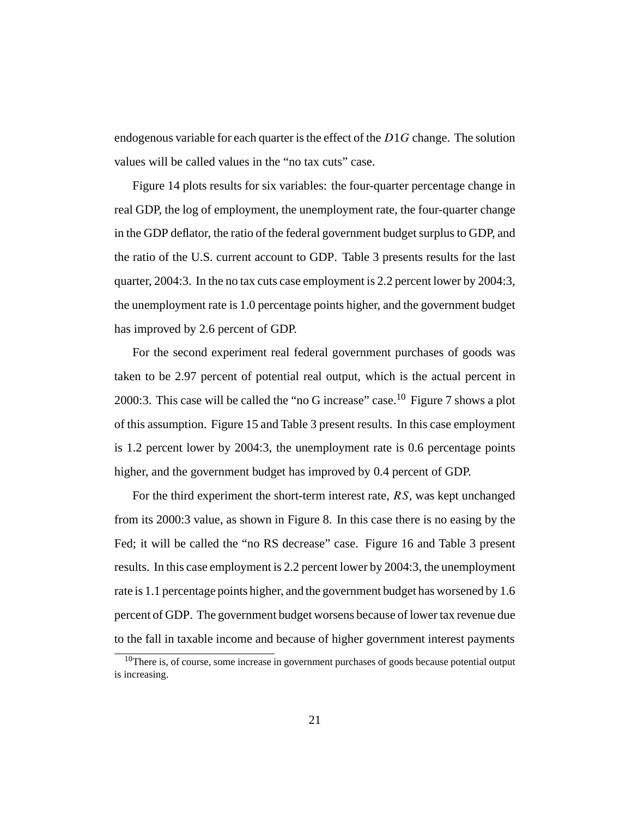endogenous variable for each quarter is the effect of the  $D1G$  change. The solution values will be called values in the "no tax cuts" case.

Figure 14 plots results for six variables: the four-quarter percentage change in real GDP, the log of employment, the unemployment rate, the four-quarter change in the GDP deflator, the ratio of the federal government budget surplus to GDP, and the ratio of the U.S. current account to GDP. Table 3 presents results for the last quarter, 2004:3. In the no tax cuts case employment is 2.2 percent lower by 2004:3, the unemployment rate is 1.0 percentage points higher, and the government budget has improved by 2.6 percent of GDP.

For the second experiment real federal government purchases of goods was taken to be 2.97 percent of potential real output, which is the actual percent in 2000:3. This case will be called the "no G increase" case.<sup>10</sup> Figure 7 shows a plot of this assumption. Figure 15 and Table 3 present results. In this case employment is 1.2 percent lower by 2004:3, the unemployment rate is 0.6 percentage points higher, and the government budget has improved by 0.4 percent of GDP.

For the third experiment the short-term interest rate, RS, was kept unchanged from its 2000:3 value, as shown in Figure 8. In this case there is no easing by the Fed; it will be called the "no RS decrease" case. Figure 16 and Table 3 present results. In this case employment is 2.2 percent lower by 2004:3, the unemployment rate is 1.1 percentage points higher, and the government budget has worsened by 1.6 percent of GDP. The government budget worsens because of lower tax revenue due to the fall in taxable income and because of higher government interest payments

<sup>&</sup>lt;sup>10</sup>There is, of course, some increase in government purchases of goods because potential output is increasing.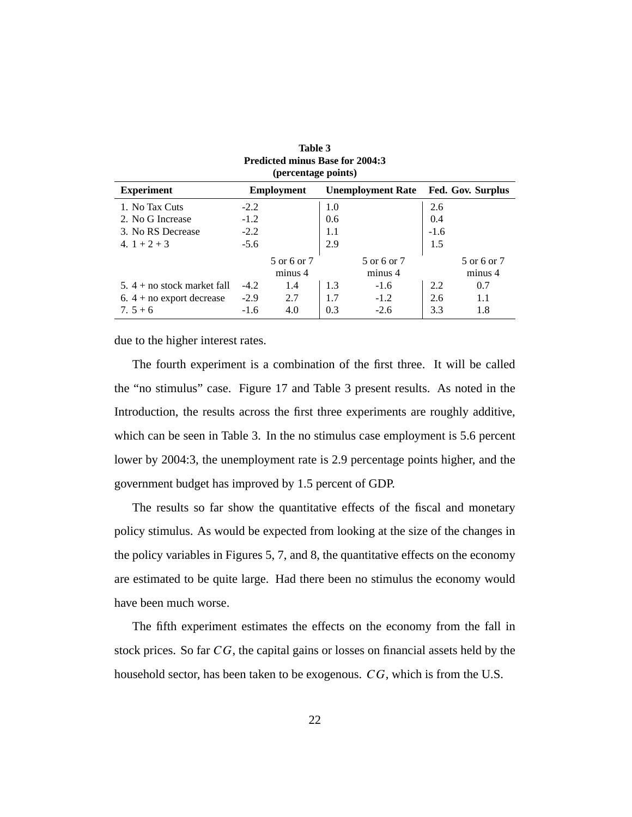| (percentage points)           |                   |             |     |                          |                   |             |  |
|-------------------------------|-------------------|-------------|-----|--------------------------|-------------------|-------------|--|
| <b>Experiment</b>             | <b>Employment</b> |             |     | <b>Unemployment Rate</b> | Fed. Gov. Surplus |             |  |
| 1. No Tax Cuts                | $-2.2$            |             | 1.0 |                          | 2.6               |             |  |
| 2. No G Increase              | $-1.2$            |             | 0.6 |                          | 0.4               |             |  |
| 3. No RS Decrease             | $-2.2$            |             | 1.1 |                          | $-1.6$            |             |  |
| 4. $1 + 2 + 3$                | $-5.6$            |             | 2.9 |                          | 1.5               |             |  |
|                               |                   | 5 or 6 or 7 |     | 5 or 6 or 7              |                   | 5 or 6 or 7 |  |
|                               |                   | minus 4     |     | minus 4                  |                   | minus 4     |  |
| 5. $4 +$ no stock market fall | $-4.2$            | 1.4         | 1.3 | $-1.6$                   | 2.2               | 0.7         |  |
| 6. $4 + no$ export decrease   | $-2.9$            | 2.7         | 1.7 | $-1.2$                   | 2.6               | 1.1         |  |
| 7. $5+6$                      | $-1.6$            | 4.0         | 0.3 | $-2.6$                   | 3.3               | 1.8         |  |

| Table 3                         |
|---------------------------------|
| Predicted minus Base for 2004:3 |
| (percentage points)             |

due to the higher interest rates.

The fourth experiment is a combination of the first three. It will be called the "no stimulus" case. Figure 17 and Table 3 present results. As noted in the Introduction, the results across the first three experiments are roughly additive, which can be seen in Table 3. In the no stimulus case employment is 5.6 percent lower by 2004:3, the unemployment rate is 2.9 percentage points higher, and the government budget has improved by 1.5 percent of GDP.

The results so far show the quantitative effects of the fiscal and monetary policy stimulus. As would be expected from looking at the size of the changes in the policy variables in Figures 5, 7, and 8, the quantitative effects on the economy are estimated to be quite large. Had there been no stimulus the economy would have been much worse.

The fifth experiment estimates the effects on the economy from the fall in stock prices. So far CG, the capital gains or losses on financial assets held by the household sector, has been taken to be exogenous. CG, which is from the U.S.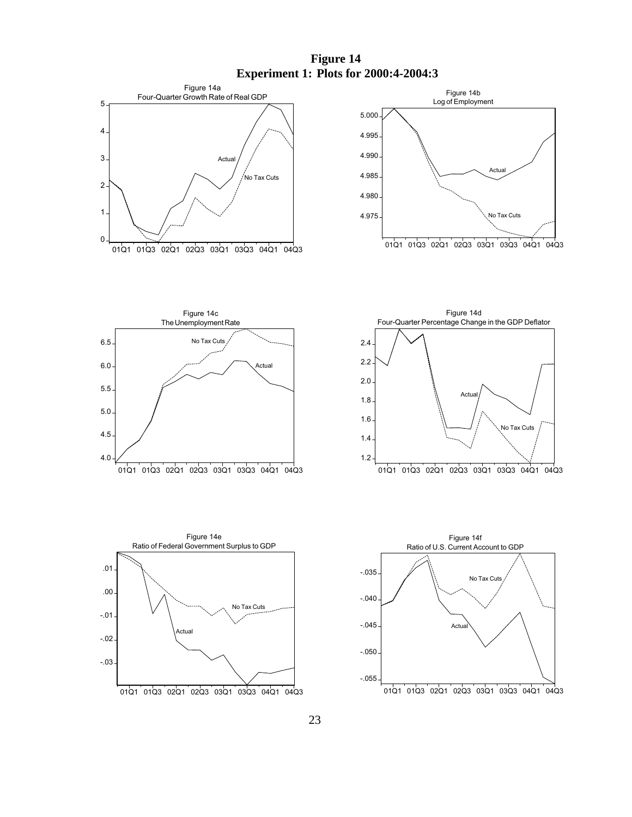**Figure 14 Experiment 1: Plots for 2000:4-2004:3**

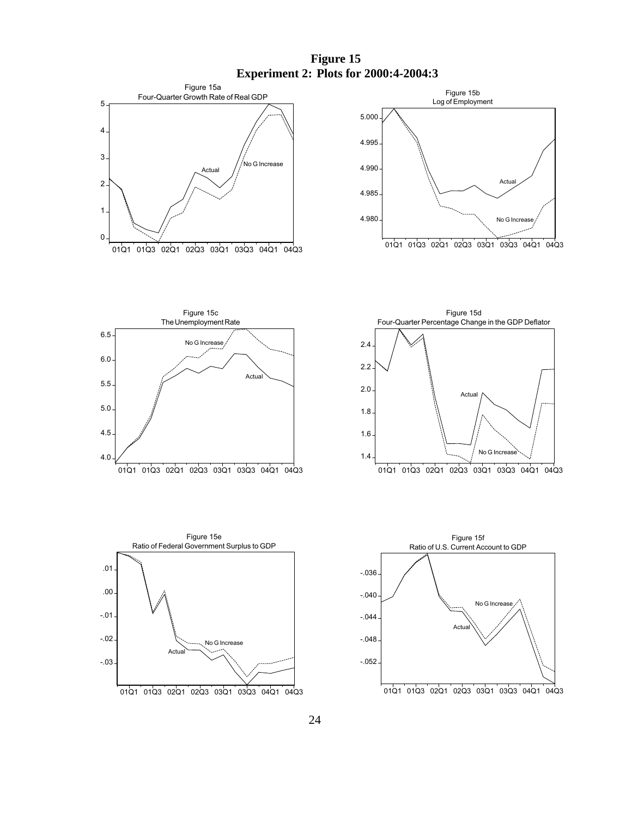**Figure 15 Experiment 2: Plots for 2000:4-2004:3**

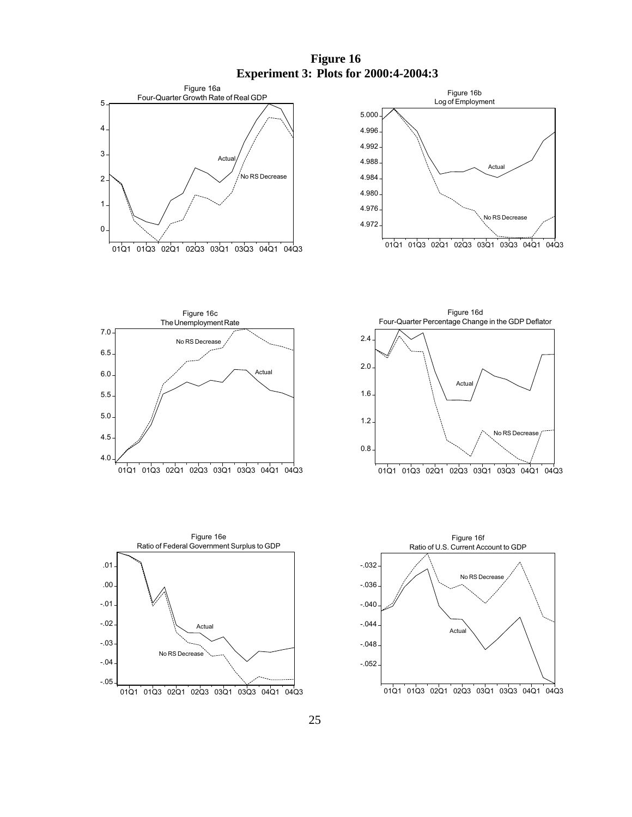**Figure 16 Experiment 3: Plots for 2000:4-2004:3**

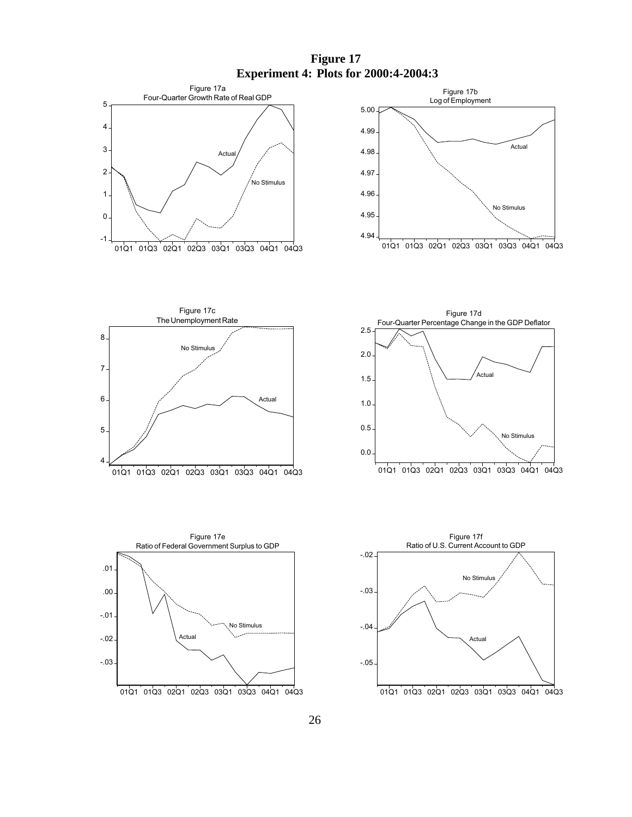**Figure 17 Experiment 4: Plots for 2000:4-2004:3**

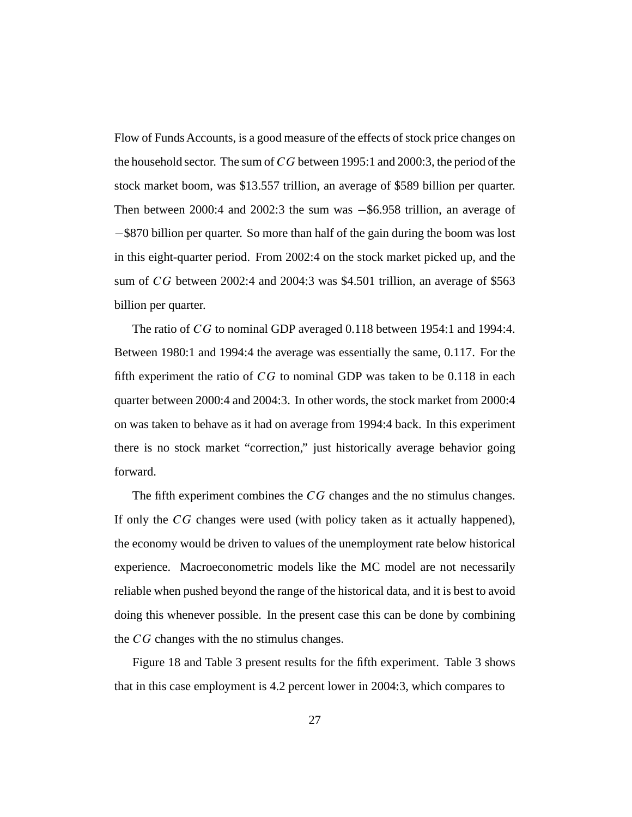Flow of Funds Accounts, is a good measure of the effects of stock price changes on the household sector. The sum of  $CG$  between 1995:1 and 2000:3, the period of the stock market boom, was \$13.557 trillion, an average of \$589 billion per quarter. Then between 2000:4 and 2002:3 the sum was −\$6.958 trillion, an average of −\$870 billion per quarter. So more than half of the gain during the boom was lost in this eight-quarter period. From 2002:4 on the stock market picked up, and the sum of CG between 2002:4 and 2004:3 was \$4.501 trillion, an average of \$563 billion per quarter.

The ratio of CG to nominal GDP averaged 0.118 between 1954:1 and 1994:4. Between 1980:1 and 1994:4 the average was essentially the same, 0.117. For the fifth experiment the ratio of  $CG$  to nominal GDP was taken to be 0.118 in each quarter between 2000:4 and 2004:3. In other words, the stock market from 2000:4 on was taken to behave as it had on average from 1994:4 back. In this experiment there is no stock market "correction," just historically average behavior going forward.

The fifth experiment combines the CG changes and the no stimulus changes. If only the CG changes were used (with policy taken as it actually happened), the economy would be driven to values of the unemployment rate below historical experience. Macroeconometric models like the MC model are not necessarily reliable when pushed beyond the range of the historical data, and it is best to avoid doing this whenever possible. In the present case this can be done by combining the CG changes with the no stimulus changes.

Figure 18 and Table 3 present results for the fifth experiment. Table 3 shows that in this case employment is 4.2 percent lower in 2004:3, which compares to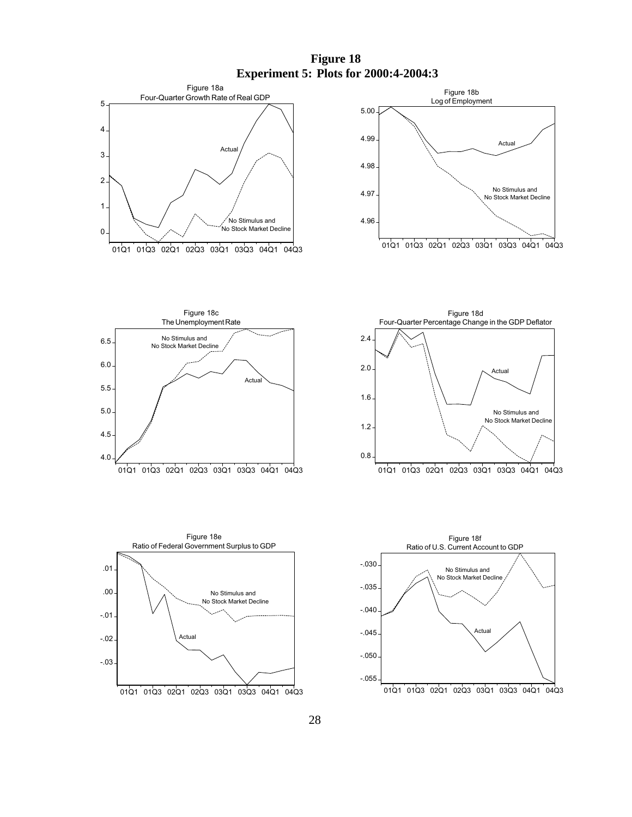**Figure 18 Experiment 5: Plots for 2000:4-2004:3**

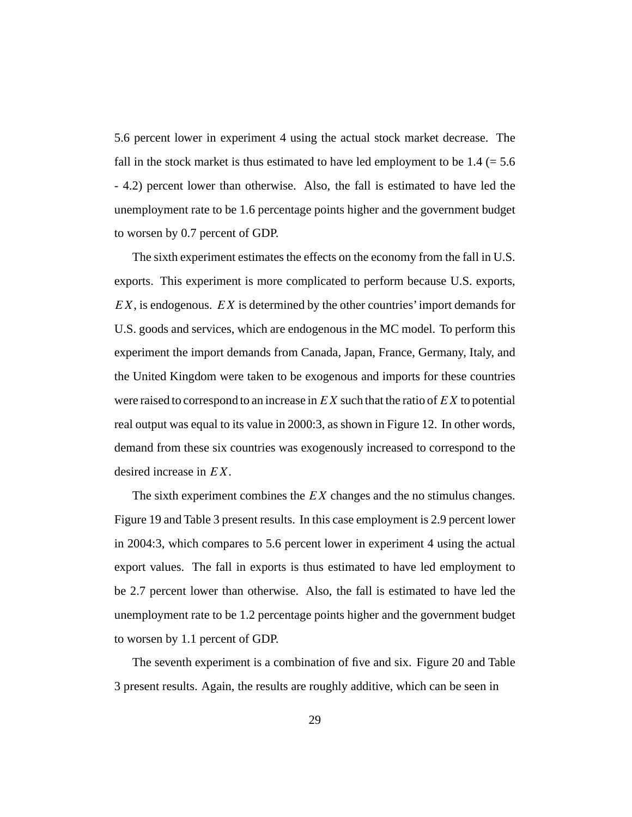5.6 percent lower in experiment 4 using the actual stock market decrease. The fall in the stock market is thus estimated to have led employment to be  $1.4 (= 5.6)$ - 4.2) percent lower than otherwise. Also, the fall is estimated to have led the unemployment rate to be 1.6 percentage points higher and the government budget to worsen by 0.7 percent of GDP.

The sixth experiment estimates the effects on the economy from the fall in U.S. exports. This experiment is more complicated to perform because U.S. exports,  $EX$ , is endogenous.  $EX$  is determined by the other countries' import demands for U.S. goods and services, which are endogenous in the MC model. To perform this experiment the import demands from Canada, Japan, France, Germany, Italy, and the United Kingdom were taken to be exogenous and imports for these countries were raised to correspond to an increase in  $EX$  such that the ratio of  $EX$  to potential real output was equal to its value in 2000:3, as shown in Figure 12. In other words, demand from these six countries was exogenously increased to correspond to the desired increase in EX.

The sixth experiment combines the  $EX$  changes and the no stimulus changes. Figure 19 and Table 3 present results. In this case employment is 2.9 percent lower in 2004:3, which compares to 5.6 percent lower in experiment 4 using the actual export values. The fall in exports is thus estimated to have led employment to be 2.7 percent lower than otherwise. Also, the fall is estimated to have led the unemployment rate to be 1.2 percentage points higher and the government budget to worsen by 1.1 percent of GDP.

The seventh experiment is a combination of five and six. Figure 20 and Table 3 present results. Again, the results are roughly additive, which can be seen in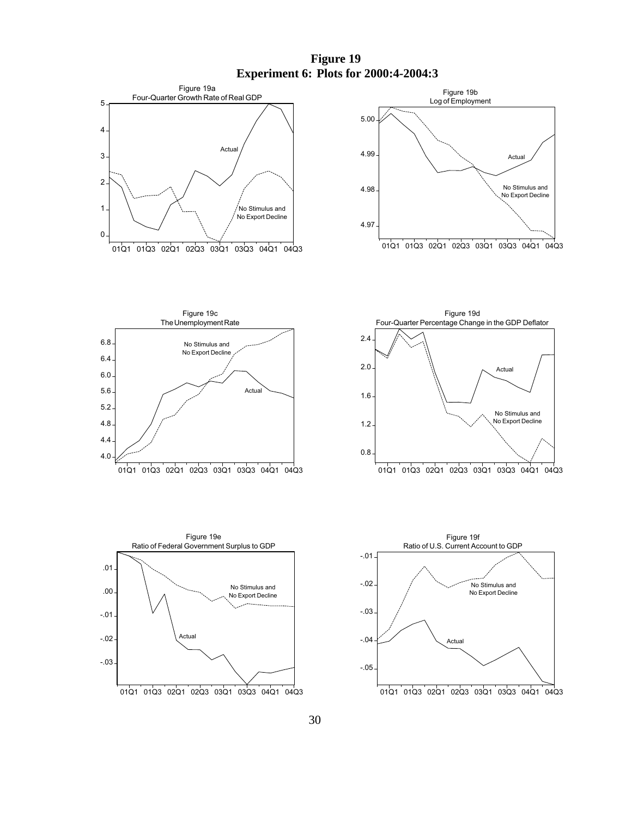**Figure 19 Experiment 6: Plots for 2000:4-2004:3**

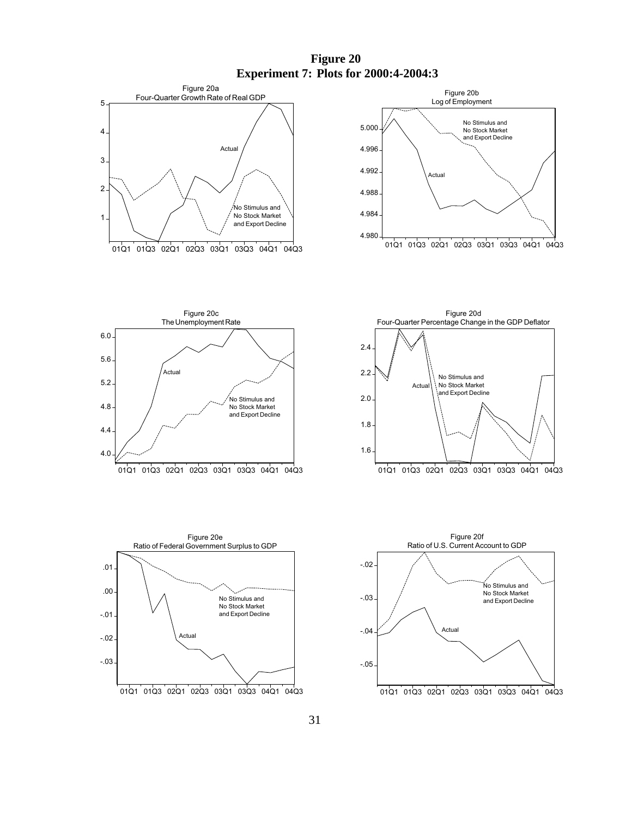**Figure 20 Experiment 7: Plots for 2000:4-2004:3**

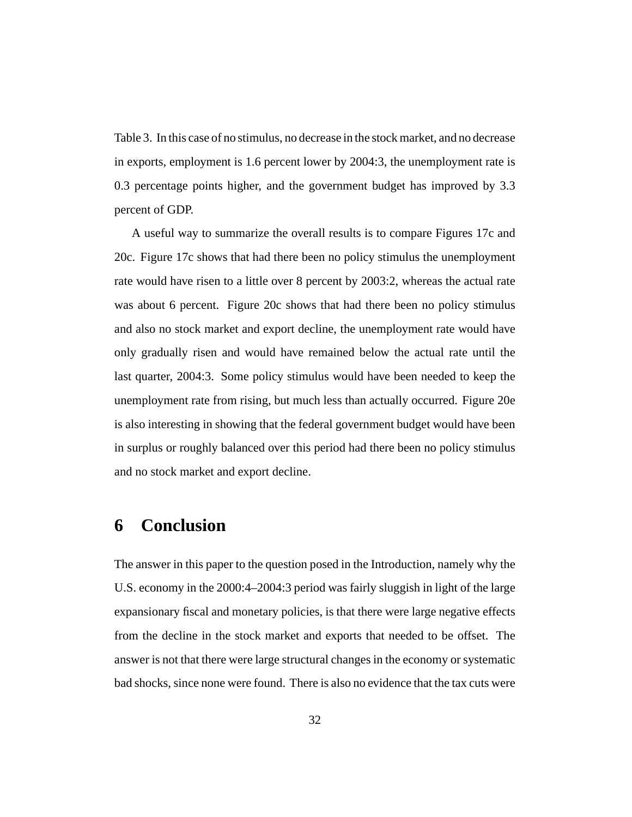Table 3. In this case of no stimulus, no decrease in the stock market, and no decrease in exports, employment is 1.6 percent lower by 2004:3, the unemployment rate is 0.3 percentage points higher, and the government budget has improved by 3.3 percent of GDP.

A useful way to summarize the overall results is to compare Figures 17c and 20c. Figure 17c shows that had there been no policy stimulus the unemployment rate would have risen to a little over 8 percent by 2003:2, whereas the actual rate was about 6 percent. Figure 20c shows that had there been no policy stimulus and also no stock market and export decline, the unemployment rate would have only gradually risen and would have remained below the actual rate until the last quarter, 2004:3. Some policy stimulus would have been needed to keep the unemployment rate from rising, but much less than actually occurred. Figure 20e is also interesting in showing that the federal government budget would have been in surplus or roughly balanced over this period had there been no policy stimulus and no stock market and export decline.

# **6 Conclusion**

The answer in this paper to the question posed in the Introduction, namely why the U.S. economy in the 2000:4–2004:3 period was fairly sluggish in light of the large expansionary fiscal and monetary policies, is that there were large negative effects from the decline in the stock market and exports that needed to be offset. The answer is not that there were large structural changes in the economy or systematic bad shocks, since none were found. There is also no evidence that the tax cuts were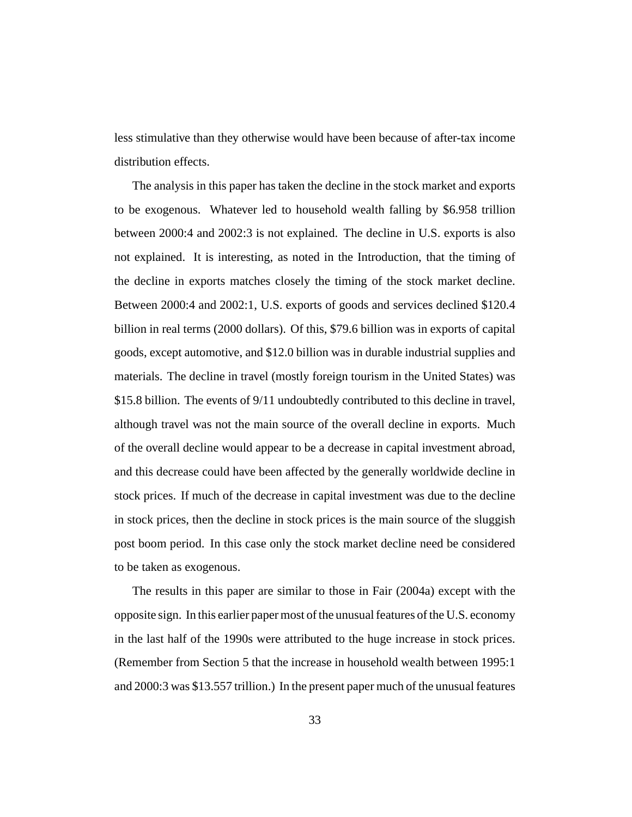less stimulative than they otherwise would have been because of after-tax income distribution effects.

The analysis in this paper has taken the decline in the stock market and exports to be exogenous. Whatever led to household wealth falling by \$6.958 trillion between 2000:4 and 2002:3 is not explained. The decline in U.S. exports is also not explained. It is interesting, as noted in the Introduction, that the timing of the decline in exports matches closely the timing of the stock market decline. Between 2000:4 and 2002:1, U.S. exports of goods and services declined \$120.4 billion in real terms (2000 dollars). Of this, \$79.6 billion was in exports of capital goods, except automotive, and \$12.0 billion was in durable industrial supplies and materials. The decline in travel (mostly foreign tourism in the United States) was \$15.8 billion. The events of 9/11 undoubtedly contributed to this decline in travel, although travel was not the main source of the overall decline in exports. Much of the overall decline would appear to be a decrease in capital investment abroad, and this decrease could have been affected by the generally worldwide decline in stock prices. If much of the decrease in capital investment was due to the decline in stock prices, then the decline in stock prices is the main source of the sluggish post boom period. In this case only the stock market decline need be considered to be taken as exogenous.

The results in this paper are similar to those in Fair (2004a) except with the opposite sign. In this earlier paper most of the unusual features of the U.S. economy in the last half of the 1990s were attributed to the huge increase in stock prices. (Remember from Section 5 that the increase in household wealth between 1995:1 and 2000:3 was \$13.557 trillion.) In the present paper much of the unusual features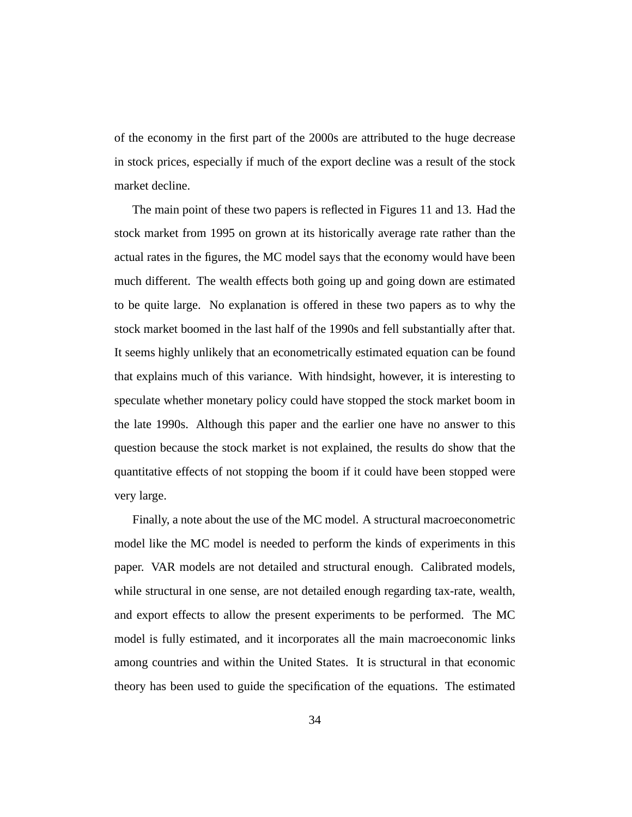of the economy in the first part of the 2000s are attributed to the huge decrease in stock prices, especially if much of the export decline was a result of the stock market decline.

The main point of these two papers is reflected in Figures 11 and 13. Had the stock market from 1995 on grown at its historically average rate rather than the actual rates in the figures, the MC model says that the economy would have been much different. The wealth effects both going up and going down are estimated to be quite large. No explanation is offered in these two papers as to why the stock market boomed in the last half of the 1990s and fell substantially after that. It seems highly unlikely that an econometrically estimated equation can be found that explains much of this variance. With hindsight, however, it is interesting to speculate whether monetary policy could have stopped the stock market boom in the late 1990s. Although this paper and the earlier one have no answer to this question because the stock market is not explained, the results do show that the quantitative effects of not stopping the boom if it could have been stopped were very large.

Finally, a note about the use of the MC model. A structural macroeconometric model like the MC model is needed to perform the kinds of experiments in this paper. VAR models are not detailed and structural enough. Calibrated models, while structural in one sense, are not detailed enough regarding tax-rate, wealth, and export effects to allow the present experiments to be performed. The MC model is fully estimated, and it incorporates all the main macroeconomic links among countries and within the United States. It is structural in that economic theory has been used to guide the specification of the equations. The estimated